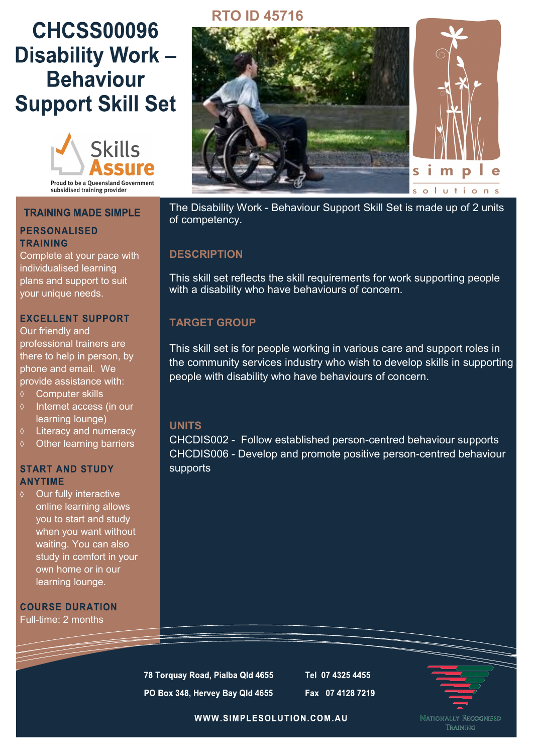# **CHCSS00096 Disability Work-Behaviour Support Skill Set**



#### **TRAINING MADE SIMPLE**

### **PERSONALISED TRAINING**

Complete at your pace with individualised learning plans and support to suit your unique needs.

#### **EXCELLENT SUPPORT**

Our friendly and professional trainers are there to help in person, by phone and email. We provide assistance with:

- Computer skills
- $\Diamond$  Internet access (in our learning lounge)
- Literacy and numeracy
- $\diamond$  Other learning barriers

#### **START AND STUDY ANYTIME**

Our fully interactive online learning allows you to start and study when you want without waiting. You can also study in comfort in your own home or in our learning lounge.

**COURSE DURATION** Full-time: 2 months

## **RTO ID 45716**



The Disability Work - Behaviour Support Skill Set is made up of 2 units of competency.

## **DESCRIPTION**

This skill set reflects the skill requirements for work supporting people with a disability who have behaviours of concern.

## **TARGET GROUP**

This skill set is for people working in various care and support roles in the community services industry who wish to develop skills in supporting people with disability who have behaviours of concern.

## **UNITS**

CHCDIS002 - Follow established person-centred behaviour supports CHCDIS006 - Develop and promote positive person-centred behaviour supports

78 Torquay Road, Pialba Qld 4655 PO Box 348, Hervey Bay Qld 4655

Tel 07 4325 4455 Fax 07 4128 7219



WWW.SIMPLESOLUTION.COM.AU